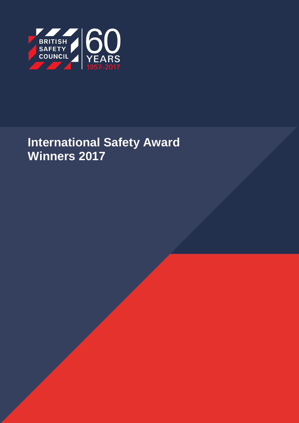

## **International Safety Award Winners 2017**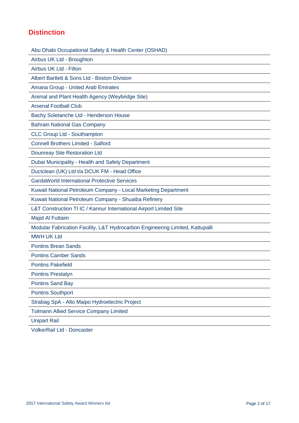## **Distinction**

Abu Dhabi Occupational Safety & Health Center (OSHAD)

Airbus UK Ltd - Broughton

Airbus UK Ltd - Filton

Albert Bartlett & Sons Ltd - Boston Division

Amana Group - United Arab Emirates

Animal and Plant Health Agency (Weybridge Site)

Arsenal Football Club

Bachy Soletanche Ltd - Henderson House

Bahrain National Gas Company

CLC Group Ltd - Southampton

Connell Brothers Limited - Salford

Dounreay Site Restoration Ltd

Dubai Municipality - Health and Safety Department

Ductclean (UK) Ltd t/a DCUK FM - Head Office

GardaWorld International Protective Services

Kuwait National Petroleum Company - Local Marketing Department

Kuwait National Petroleum Company - Shuaiba Refinery

L&T Construction TI IC / Kannur International Airport Limited Site

Majid Al Futtaim

Modular Fabrication Facility, L&T Hydrocarbon Engineering Limited, Kattupalli

MWH UK Ltd

Pontins Brean Sands

Pontins Camber Sands

Pontins Pakefield

Pontins Prestatyn

Pontins Sand Bay

Pontins Southport

Strabag SpA - Alto Maipo Hydroelectric Project

Tolmann Allied Service Company Limited

Unipart Rail

VolkerRail Ltd - Doncaster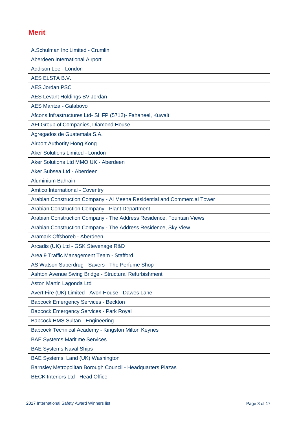## **Merit**

A.Schulman Inc Limited - Crumlin

Aberdeen International Airport

Addison Lee - London

AES ELSTA B.V.

AES Jordan PSC

AES Levant Holdings BV Jordan

AES Maritza - Galabovo

Afcons Infrastructures Ltd- SHFP (5712)- Fahaheel, Kuwait

AFI Group of Companies, Diamond House

Agregados de Guatemala S.A.

Airport Authority Hong Kong

Aker Solutions Limited - London

Aker Solutions Ltd MMO UK - Aberdeen

Aker Subsea Ltd - Aberdeen

Aluminium Bahrain

Amtico International - Coventry

Arabian Construction Company - Al Meena Residential and Commercial Tower

Arabian Construction Company - Plant Department

Arabian Construction Company - The Address Residence, Fountain Views

Arabian Construction Company - The Address Residence, Sky View

Aramark Offshoreb - Aberdeen

Arcadis (UK) Ltd - GSK Stevenage R&D

Area 9 Traffic Management Team - Stafford

AS Watson Superdrug - Savers - The Perfume Shop

Ashton Avenue Swing Bridge - Structural Refurbishment

Aston Martin Lagonda Ltd

Avert Fire (UK) Limited - Avon House - Dawes Lane

Babcock Emergency Services - Beckton

Babcock Emergency Services - Park Royal

Babcock HMS Sultan - Engineering

Babcock Technical Academy - Kingston Milton Keynes

BAE Systems Maritime Services

BAE Systems Naval Ships

BAE Systems, Land (UK) Washington

Barnsley Metropolitan Borough Council - Headquarters Plazas

BECK Interiors Ltd - Head Office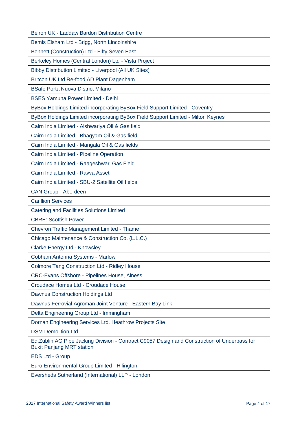Belron UK - Laddaw Bardon Distribution Centre

Bemis Elsham Ltd - Brigg, North Lincolnshire

Bennett (Construction) Ltd - Fifty Seven East

Berkeley Homes (Central London) Ltd - Vista Project

Bibby Distribution Limited - Liverpool (All UK Sites)

Britcon UK Ltd Re-food AD Plant Dagenham

BSafe Porta Nuova District Milano

BSES Yamuna Power Limited - Delhi

ByBox Holdings Limited incorporating ByBox Field Support Limited - Coventry

ByBox Holdings Limited incorporating ByBox Field Support Limited - Milton Keynes

Cairn India Limited - Aishwariya Oil & Gas field

Cairn India Limited - Bhagyam Oil & Gas field

Cairn India Limited - Mangala Oil & Gas fields

Cairn India Limited - Pipeline Operation

Cairn India Limited - Raageshwari Gas Field

Cairn India Limited - Ravva Asset

Cairn India Limited - SBU-2 Satellite Oil fields

CAN Group - Aberdeen

Carillion Services

Catering and Facilities Solutions Limited

CBRE: Scottish Power

Chevron Traffic Management Limited - Thame

Chicago Maintenance & Construction Co. (L.L.C.)

Clarke Energy Ltd - Knowsley

Cobham Antenna Systems - Marlow

Colmore Tang Construction Ltd - Ridley House

CRC-Evans Offshore - Pipelines House, Alness

Croudace Homes Ltd - Croudace House

Dawnus Construction Holdings Ltd

Dawnus Ferrovial Agroman Joint Venture - Eastern Bay Link

Delta Engineering Group Ltd - Immingham

Dornan Engineering Services Ltd. Heathrow Projects Site

DSM Demolition Ltd

Ed.Zublin AG Pipe Jacking Division - Contract C9057 Design and Construction of Underpass for Bukit Panjang MRT station

EDS Ltd - Group

Euro Environmental Group Limited - Hilington

Eversheds Sutherland (International) LLP - London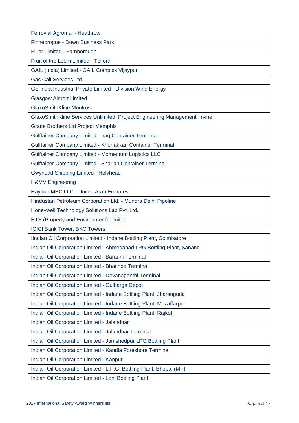Ferrovial Agroman- Heathrow

Finnebrogue - Down Business Park

Fluor Limited - Farnborough

Fruit of the Loom Limited - Telford

GAIL (India) Limited - GAIL Complex Vijaypur

Gas Call Services Ltd.

GE India Industrial Private Limited - Division Wind Energy

Glasgow Airport Limited

GlaxoSmithKline Montrose

GlaxoSmithKline Services Unlimited, Project Engineering Management, Irvine

Gratte Brothers Ltd Project Memphis

Gulftainer Company Limited - Iraq Container Terminal

Gulftainer Company Limited - Khorfakkan Container Terminal

Gulftainer Company Limited - Momentum Logistics LLC

Gulftainer Company Limited - Sharjah Container Terminal

Gwynedd Shipping Limited - Holyhead

H&MV Engineering

Haydon MEC LLC - United Arab Emirates

Hindustan Petroleum Corporation Ltd. - Mundra Delhi Pipeline

Honeywell Technology Solutions Lab Pvt. Ltd.

HTS (Property and Environment) Limited

ICICI Bank Tower, BKC Towers

IIndian Oil Corporation Limited - Indane Bottling Plant, Coimbatore

Indian Oil Corporation Limited - Ahmedabad LPG Bottling Plant, Sanand

Indian Oil Corporation Limited - Barauni Terminal

Indian Oil Corporation Limited - Bhatinda Terminal

Indian Oil Corporation Limited - Devanagonthi Terminal

Indian Oil Corporation Limited - Gulbarga Depot

Indian Oil Corporation Limited - Indane Bottling Plant, Jharsuguda

Indian Oil Corporation Limited - Indane Bottling Plant, Muzaffarpur

Indian Oil Corporation Limited - Indane Bottling Plant, Rajkot

Indian Oil Corporation Limited - Jalandhar

Indian Oil Corporation Limited - Jalandhar Terminal

Indian Oil Corporation Limited - Jamshedpur LPG Bottling Plant

Indian Oil Corporation Limited - Kandla Foreshore Terminal

Indian Oil Corporation Limited - Kanpur

Indian Oil Corporation Limited - L.P.G. Bottling Plant, Bhopal (MP)

Indian Oil Corporation Limited - Loni Bottling Plant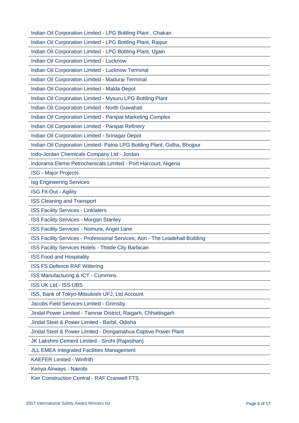| Indian Oil Corporation Limited - LPG Bottling Plant, Chakan |  |  |  |
|-------------------------------------------------------------|--|--|--|
|                                                             |  |  |  |

Indian Oil Corporation Limited - LPG Bottling Plant, Raipur

Indian Oil Corporation Limited - LPG Bottling Plant, Ujjain

Indian Oil Corporation Limited - Lucknow

Indian Oil Corporation Limited - Lucknow Terminal

Indian Oil Corporation Limited - Madurai Terminal

Indian Oil Corporation Limited - Malda Depot

Indian Oil Corporation Limited - Mysuru LPG Bottling Plant

Indian Oil Corporation Limited - North Guwahati

Indian Oil Corporation Limited - Panipat Marketing Complex

Indian Oil Corporation Limited - Panipat Refinery

Indian Oil Corporation Limited - Srinagar Depot

Indian Oil Corporation Limited- Patna LPG Bottling Plant, Gidha, Bhojpur

Indo-Jordan Chemicals Company Ltd - Jordan

Indorama Eleme Petrochenicals Limited - Port Harcourt, Nigeria

ISG - Major Projects

Isg Engineering Services

ISG Fit-Out - Agility

ISS Cleaning and Transport

ISS Facility Services - Linklaters

ISS Facility Services - Morgan Stanley

ISS Facility Services - Nomura, Angel Lane

ISS Facility Services - Professional Services, Aon - The Leadehall Building

ISS Facility Services Hotels - Thistle City Barbican

ISS Food and Hospitality

ISS FS Defence RAF Wittering

ISS Manufacturing & ICT - Cummins

ISS UK Ltd.- ISS UBS

ISS, Bank of Tokyo-Mitsubishi UFJ, Ltd Account

Jacobs Field Services Limited - Grimsby

Jindal Power Limited - Tamnar District, Raigarh, Chhattisgarh

Jindal Steel & Power Limited - Barbil, Odisha

Jindal Steel & Power Limited - Dongamahua Captive Power Plant

JK Lakshmi Cement Limited - Sirohi (Rajasthan)

JLL EMEA Integrated Facilities Management

KAEFER Limited - Winfrith

Kenya Airways - Nairobi

Kier Construction Central - RAF Cranwell FTS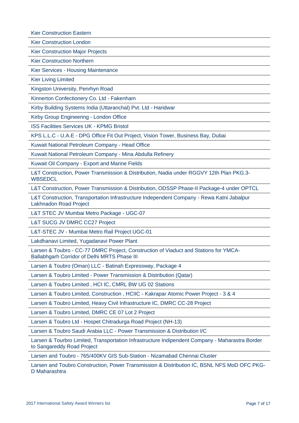Kier Construction Eastern

Kier Construction London

Kier Construction Major Projects

Kier Construction Northern

Kier Services - Housing Maintenance

Kier Living Limited

Kingston University, Penrhyn Road

Kinnerton Confectionery Co. Ltd - Fakenham

Kirby Building Systems India (Uttaranchal) Pvt. Ltd - Haridwar

Kirby Group Engineering - London Office

ISS Facilities Services UK - KPMG Bristol

KPS L.L.C - U.A.E - DPG Office Fit Out Project, Vision Tower, Business Bay, Dubai

Kuwait National Petroleum Company - Head Office

Kuwait National Petroleum Company - Mina Abdulla Refinery

Kuwait Oil Company - Export and Marine Fields

L&T Construction, Power Transmission & Distribution, Nadia under RGGVY 12th Plan PKG.3- **WBSEDCL** 

L&T Construction, Power Transmission & Distribution, ODSSP Phase-II Package-4 under OPTCL

L&T Construction, Transportation Infrastructure Independent Company - Rewa Katni Jabalpur Lakhnadon Road Project

L&T STEC JV Mumbai Metro Package - UGC-07

L&T SUCG JV DMRC CC27 Project

L&T-STEC JV - Mumbai Metro Rail Project UGC-01

Lakdhanavi Limited, Yugadanavi Power Plant

Larsen & Toubro - CC-77 DMRC Project, Construction of Viaduct and Stations for YMCA-Ballabhgarh Corridor of Delhi MRTS Phase III

Larsen & Toubro (Oman) LLC - Batinah Expressway, Package 4

Larsen & Toubro Limited - Power Transmission & Distribution (Qatar)

Larsen & Toubro Limited , HCI IC, CMRL BW UG 02 Stations

Larsen & Toubro Limited, Construction , HCIIC - Kakrapar Atomic Power Project - 3 & 4

Larsen & Toubro Limited, Heavy Civil Infrastructure IC, DMRC CC-28 Project

Larsen & Toubro Limited, DMRC CE 07 Lot 2 Project

Larsen & Toubro Ltd - Hospet Chitradurga Road Project (NH-13)

Larsen & Toubro Saudi Arabia LLC - Power Transmission & Distribution I/C

Larsen & Tourbro Limited, Transportation Infrastructure Indipendent Company - Maharastra Border to Sangareddy Road Project

Larsen and Toubro - 765/400KV GIS Sub-Station - Nizamabad Chennai Cluster

Larsen and Toubro Construction, Power Transmission & Distribution IC, BSNL NFS MoD OFC PKG-D Maharashtra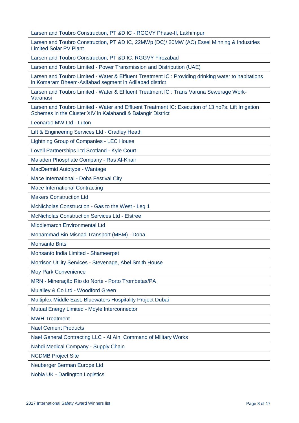Larsen and Toubro Construction, PT &D IC - RGGVY Phase-II, Lakhimpur

Larsen and Toubro Construction, PT &D IC, 22MWp (DC)/ 20MW (AC) Essel Minning & Industries Limited Solar PV Plant

Larsen and Toubro Construction, PT &D IC, RGGVY Firozabad

Larsen and Toubro Limited - Power Transmission and Distribution (UAE)

Larsen and Toubro Limited - Water & Effluent Treatment IC : Providing drinking water to habitations in Komaram Bheem-Asifabad segment in Adilabad district

Larsen and Toubro Limited - Water & Effluent Treatment IC : Trans Varuna Sewerage Work-Varanasi

Larsen and Toubro Limited - Water and Effluent Treatment IC: Execution of 13 no?s. Lift Irrigation Schemes in the Cluster XIV in Kalahandi & Balangir District

Leonardo MW Ltd - Luton

Lift & Engineering Services Ltd - Cradley Heath

Lightning Group of Companies - LEC House

Lovell Partnerships Ltd Scotland - Kyle Court

Ma'aden Phosphate Company - Ras Al-Khair

MacDermid Autotype - Wantage

Mace International - Doha Festival City

Mace International Contracting

Makers Construction Ltd

McNicholas Construction - Gas to the West - Leg 1

McNicholas Construction Services Ltd - Elstree

Middlemarch Environmental Ltd

Mohammad Bin Misnad Transport (MBM) - Doha

Monsanto Brits

Monsanto India Limited - Shameerpet

Morrison Utility Services - Stevenage, Abel Smith House

Moy Park Convenience

MRN - Mineração Rio do Norte - Porto Trombetas/PA

Mulalley & Co Ltd - Woodford Green

Multiplex Middle East, Bluewaters Hospitality Project Dubai

Mutual Energy Limited - Moyle Interconnector

MWH Treatment

Nael Cement Products

Nael General Contracting LLC - Al Ain, Command of Military Works

Nahdi Medical Company - Supply Chain

NCDMB Project Site

Neuberger Berman Europe Ltd

Nobia UK - Darlington Logistics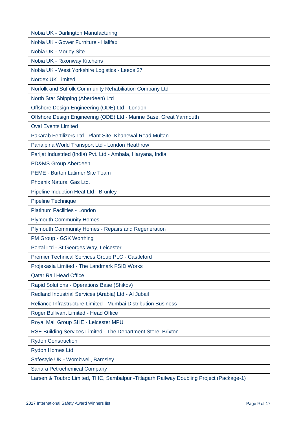Nobia UK - Darlington Manufacturing

Nobia UK - Gower Furniture - Halifax

Nobia UK - Morley Site

Nobia UK - Rixonway Kitchens

Nobia UK - West Yorkshire Logistics - Leeds 27

Nordex UK Limited

Norfolk and Suffolk Community Rehabiliation Company Ltd

North Star Shipping (Aberdeen) Ltd

Offshore Design Engineering (ODE) Ltd - London

Offshore Design Engineering (ODE) Ltd - Marine Base, Great Yarmouth

Oval Events Limited

Pakarab Fertilizers Ltd - Plant Site, Khanewal Road Multan

Panalpina World Transport Ltd - London Heathrow

Parijat Industried (India) Pvt. Ltd - Ambala, Haryana, India

PD&MS Group Aberdeen

PEME - Burton Latimer Site Team

Phoenix Natural Gas Ltd.

Pipeline Induction Heat Ltd - Brunley

Pipeline Technique

Platinum Facilities - London

Plymouth Community Homes

Plymouth Community Homes - Repairs and Regeneration

PM Group - GSK Worthing

Portal Ltd - St Georges Way, Leicester

Premier Technical Services Group PLC - Castleford

Projexasia Limited - The Landmark FSID Works

Qatar Rail Head Office

Rapid Solutions - Operations Base (Shikov)

Redland Industrial Services (Arabia) Ltd - Al Jubail

Reliance Infrastructure Limited - Mumbai Distribution Business

Roger Bullivant Limited - Head Office

Royal Mail Group SHE - Leicester MPU

RSE Building Services Limited - The Department Store, Brixton

Rydon Construction

Rydon Homes Ltd

Safestyle UK - Wombwell, Barnsley

Sahara Petrochemical Company

Larsen & Toubro Limited, TI IC, Sambalpur -Titlagarh Railway Doubling Project (Package-1)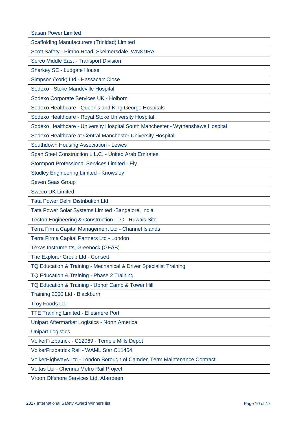Sasan Power Limited

Scaffolding Manufacturers (Trinidad) Limited

Scott Safety - Pimbo Road, Skelmersdale, WN8 9RA

Serco Middle East - Transport Division

Sharkey SE - Ludgate House

Simpson (York) Ltd - Hassacarr Close

Sodexo - Stoke Mandeville Hospital

Sodexo Corporate Services UK - Holborn

Sodexo Healthcare - Queen's and King George Hospitals

Sodexo Healthcare - Royal Stoke University Hospital

Sodexo Healthcare - University Hospital South Manchester - Wythenshawe Hospital

Sodexo Healthcare at Central Manchester University Hospital

Southdown Housing Association - Lewes

Span Steel Construction L.L.C. - United Arab Emirates

Stormport Professional Services Limited - Ely

Studley Engineering Limited - Knowsley

Seven Seas Group

Sweco UK Limited

Tata Power Delhi Distribution Ltd

Tata Power Solar Systems Limited -Bangalore, India

Tecton Engineering & Construction LLC - Ruwais Site

Terra Firma Capital Management Ltd - Channel Islands

Terra Firma Capital Partners Ltd - London

Texas Instruments, Greenock (GFAB)

The Explorer Group Ltd - Consett

TQ Education & Training - Mechanical & Driver Specialist Training

TQ Education & Training - Phase 2 Training

TQ Education & Training - Upnor Camp & Tower Hill

Training 2000 Ltd - Blackburn

Troy Foods Ltd

TTE Training Limited - Ellesmere Port

Unipart Aftermarket Logistics - North America

Unipart Logistics

VolkerFitzpatrick - C12069 - Temple Mills Depot

VolkerFitzpatrick Rail - WAML Star C11454

VolkerHighways Ltd - London Borough of Camden Term Maintenance Contract

Voltas Ltd - Chennai Metro Rail Project

Vroon Offshore Services Ltd. Aberdeen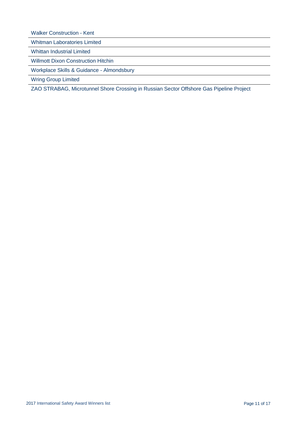Walker Construction - Kent

Whitman Laboratories Limited

Whittan Industrial Limited

Willmott Dixon Construction Hitchin

Workplace Skills & Guidance - Almondsbury

Wring Group Limited

ZAO STRABAG, Microtunnel Shore Crossing in Russian Sector Offshore Gas Pipeline Project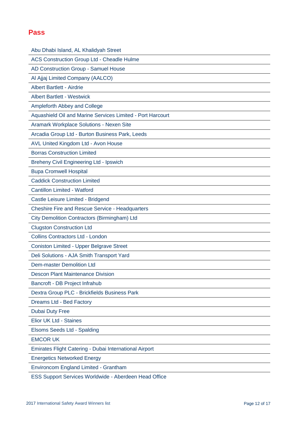## **Pass**

Abu Dhabi Island, AL Khalidyah Street ACS Construction Group Ltd - Cheadle Hulme AD Construction Group - Samuel House Al Ajjaj Limited Company (AALCO) Albert Bartlett - Airdrie Albert Bartlett - Westwick Ampleforth Abbey and College Aquashield Oil and Marine Services Limited - Port Harcourt Aramark Workplace Solutions - Nexen Site Arcadia Group Ltd - Burton Business Park, Leeds AVL United Kingdom Ltd - Avon House Borras Construction Limited Breheny Civil Engineering Ltd - Ipswich Bupa Cromwell Hospital Caddick Construction Limited Cantillon Limited - Watford Castle Leisure Limited - Bridgend Cheshire Fire and Rescue Service - Headquarters City Demolition Contractors (Birmingham) Ltd Clugston Construction Ltd Collins Contractors Ltd - London Coniston Limited - Upper Belgrave Street Deli Solutions - AJA Smith Transport Yard Dem-master Demolition Ltd Descon Plant Maintenance Division Bancroft - DB Project Infrahub Dextra Group PLC - Brickfields Business Park Dreams Ltd - Bed Factory Dubai Duty Free Elior UK Ltd - Staines Elsoms Seeds Ltd - Spalding EMCOR UK Emirates Flight Catering - Dubai International Airport Energetics Networked Energy Environcom England Limited - Grantham

ESS Support Services Worldwide - Aberdeen Head Office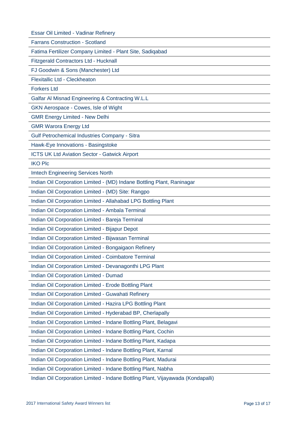Essar Oil Limited - Vadinar Refinery

Farrans Construction - Scotland

Fatima Fertilizer Company Limited - Plant Site, Sadiqabad

Fitzgerald Contractors Ltd - Hucknall

FJ Goodwin & Sons (Manchester) Ltd

Flexitallic Ltd - Cleckheaton

Forkers Ltd

Galfar Al Misnad Engineering & Contracting W.L.L

GKN Aerospace - Cowes, Isle of Wight

GMR Energy Limited - New Delhi

GMR Warora Energy Ltd

Gulf Petrochemical Industries Company - Sitra

Hawk-Eye Innovations - Basingstoke

ICTS UK Ltd Aviation Sector - Gatwick Airport

IKO Plc

Imtech Engineering Services North

Indian Oil Corporation Limited - (MD) Indane Bottling Plant, Raninagar

Indian Oil Corporation Limited - (MD) Site: Rangpo

Indian Oil Corporation Limited - Allahabad LPG Bottling Plant

Indian Oil Corporation Limited - Ambala Terminal

Indian Oil Corporation Limited - Bareja Terminal

Indian Oil Corporation Limited - Bijapur Depot

Indian Oil Corporation Limited - Bijwasan Terminal

Indian Oil Corporation Limited - Bongaigaon Refinery

Indian Oil Corporation Limited - Coimbatore Terminal

Indian Oil Corporation Limited - Devanagonthi LPG Plant

Indian Oil Corporation Limited - Dumad

Indian Oil Corporation Limited - Erode Bottling Plant

Indian Oil Corporation Limited - Guwahati Refinery

Indian Oil Corporation Limited - Hazira LPG Bottling Plant

Indian Oil Corporation Limited - Hyderabad BP, Cherlapally

Indian Oil Corporation Limited - Indane Bottling Plant, Belagavi

Indian Oil Corporation Limited - Indane Bottling Plant, Cochin

Indian Oil Corporation Limited - Indane Bottling Plant, Kadapa

Indian Oil Corporation Limited - Indane Bottling Plant, Karnal

Indian Oil Corporation Limited - Indane Bottling Plant, Madurai

Indian Oil Corporation Limited - Indane Bottling Plant, Nabha

Indian Oil Corporation Limited - Indane Bottling Plant, Vijayawada (Kondapalli)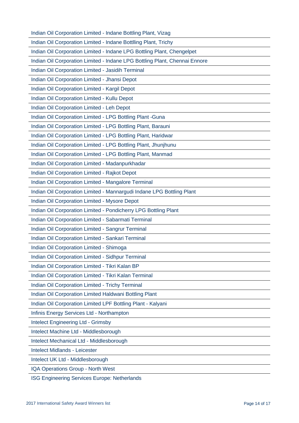| Indian Oil Corporation Limited - Indane Bottling Plant, Vizag              |  |  |  |
|----------------------------------------------------------------------------|--|--|--|
| Indian Oil Corporation Limited - Indane Bottlling Plant, Trichy            |  |  |  |
| Indian Oil Corporation Limited - Indane LPG Bottling Plant, Chengelpet     |  |  |  |
| Indian Oil Corporation Limited - Indane LPG Bottling Plant, Chennai Ennore |  |  |  |
| Indian Oil Corporation Limited - Jasidih Terminal                          |  |  |  |
| Indian Oil Corporation Limited - Jhansi Depot                              |  |  |  |
| Indian Oil Corporation Limited - Kargil Depot                              |  |  |  |
| Indian Oil Corporation Limited - Kullu Depot                               |  |  |  |
| Indian Oil Corporation Limited - Leh Depot                                 |  |  |  |
| Indian Oil Corporation Limited - LPG Bottling Plant -Guna                  |  |  |  |
| Indian Oil Corporation Limited - LPG Bottling Plant, Barauni               |  |  |  |
| Indian Oil Corporation Limited - LPG Bottling Plant, Haridwar              |  |  |  |
| Indian Oil Corporation Limited - LPG Bottling Plant, Jhunjhunu             |  |  |  |
| Indian Oil Corporation Limited - LPG Bottling Plant, Manmad                |  |  |  |
| Indian Oil Corporation Limited - Madanpurkhadar                            |  |  |  |
| Indian Oil Corporation Limited - Rajkot Depot                              |  |  |  |
| Indian Oil Corporation Limited - Mangalore Terminal                        |  |  |  |
| Indian Oil Corporation Limited - Mannargudi Indane LPG Bottling Plant      |  |  |  |
| Indian Oil Corporation Limited - Mysore Depot                              |  |  |  |
| Indian Oil Corporation Limited - Pondicherry LPG Bottling Plant            |  |  |  |
| Indian Oil Corporation Limited - Sabarmati Terminal                        |  |  |  |
| Indian Oil Corporation Limited - Sangrur Terminal                          |  |  |  |
| Indian Oil Corporation Limited - Sankari Terminal                          |  |  |  |
| Indian Oil Corporation Limited - Shimoga                                   |  |  |  |
| Indian Oil Corporation Limited - Sidhpur Terminal                          |  |  |  |
| Indian Oil Corporation Limited - Tikri Kalan BP                            |  |  |  |
| Indian Oil Corporation Limited - Tikri Kalan Terminal                      |  |  |  |
| Indian Oil Corporation Limited - Trichy Terminal                           |  |  |  |
| Indian Oil Corporation Limited Haldwani Bottling Plant                     |  |  |  |
| Indian Oil Corporation Limited LPF Bottling Plant - Kalyani                |  |  |  |
| Infinis Energy Services Ltd - Northampton                                  |  |  |  |
| <b>Intelect Engineering Ltd - Grimsby</b>                                  |  |  |  |
| Intelect Machine Ltd - Middlesborough                                      |  |  |  |
| Intelect Mechanical Ltd - Middlesborough                                   |  |  |  |
| <b>Intelect Midlands - Leicester</b>                                       |  |  |  |
| Intelect UK Ltd - Middlesborough                                           |  |  |  |
| IQA Operations Group - North West                                          |  |  |  |

ISG Engineering Services Europe: Netherlands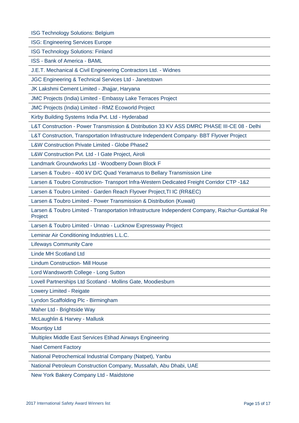ISG Technology Solutions: Belgium

ISG: Engineering Services Europe

ISG Technology Solutions: Finland

ISS - Bank of America - BAML

J.E.T. Mechanical & Civil Engineering Contractors Ltd. - Widnes

JGC Engineering & Technical Services Ltd - Janetstown

JK Lakshmi Cement Limited - Jhajjar, Haryana

JMC Projects (India) Limited - Embassy Lake Terraces Project

JMC Projects (India) Limited - RMZ Ecoworld Project

Kirby Building Systems India Pvt. Ltd - Hyderabad

L&T Construction - Power Transmission & Distribution 33 KV ASS DMRC PHASE III-CE 08 - Delhi

L&T Construction, Transportation Infrastructure Independent Company- BBT Flyover Project

L&W Construction Private Limited - Globe Phase2

L&W Construction Pvt. Ltd - I Gate Project, Airoli

Landmark Groundworks Ltd - Woodberry Down Block F

Larsen & Toubro - 400 kV D/C Quad Yeramarus to Bellary Transmission Line

Larsen & Toubro Construction- Transport Infra-Western Dedicated Freight Corridor CTP -1&2

Larsen & Toubro Limited - Garden Reach Flyover Project,TI IC (RR&EC)

Larsen & Toubro Limited - Power Transmission & Distribution (Kuwait)

Larsen & Toubro Limited - Transportation Infrastructure Independent Company, Raichur-Guntakal Re Project

Larsen & Toubro Limited - Unnao - Lucknow Expressway Project

Leminar Air Conditioning Industries L.L.C.

Lifeways Community Care

Linde MH Scotland Ltd

Lindum Construction- Mill House

Lord Wandsworth College - Long Sutton

Lovell Partnerships Ltd Scotland - Mollins Gate, Moodiesburn

Lowery Limited - Reigate

Lyndon Scaffolding Plc - Birmingham

Maher Ltd - Brightside Way

McLaughlin & Harvey - Mallusk

Mountjoy Ltd

Multiplex Middle East Services Etihad Airways Engineering

Nael Cement Factory

National Petrochemical Industrial Company (Natpet), Yanbu

National Petroleum Construction Company, Mussafah, Abu Dhabi, UAE

New York Bakery Company Ltd - Maidstone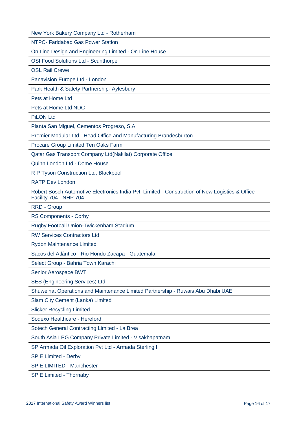New York Bakery Company Ltd - Rotherham

NTPC- Faridabad Gas Power Station

On Line Design and Engineering Limited - On Line House

OSI Food Solutions Ltd - Scunthorpe

OSL Rail Crewe

Panavision Europe Ltd - London

Park Health & Safety Partnership- Aylesbury

Pets at Home Ltd

Pets at Home Ltd NDC

PiLON Ltd

Planta San Miguel, Cementos Progreso, S.A.

Premier Modular Ltd - Head Office and Manufacturing Brandesburton

Procare Group Limited Ten Oaks Farm

Qatar Gas Transport Company Ltd(Nakilat) Corporate Office

Quinn London Ltd - Dome House

R P Tyson Construction Ltd, Blackpool

RATP Dev London

Robert Bosch Automotive Electronics India Pvt. Limited - Construction of New Logistics & Office Facility 704 - NHP 704

RRD - Group

RS Components - Corby

Rugby Football Union-Twickenham Stadium

RW Services Contractors Ltd

Rydon Maintenance Limited

Sacos del Atlántico - Rio Hondo Zacapa - Guatemala

Select Group - Bahria Town Karachi

Senior Aerospace BWT

SES (Engineering Services) Ltd.

Shuweihat Operations and Maintenance Limited Partnership - Ruwais Abu Dhabi UAE

Siam City Cement (Lanka) Limited

Slicker Recycling Limited

Sodexo Healthcare - Hereford

Sotech General Contracting Limited - La Brea

South Asia LPG Company Private Limited - Visakhapatnam

SP Armada Oil Exploration Pvt Ltd - Armada Sterling II

SPIE Limited - Derby

SPIE LIMITED - Manchester

SPIE Limited - Thornaby